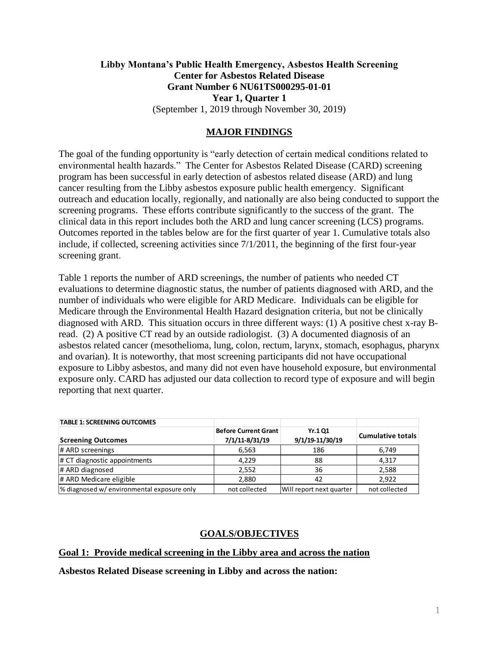# **Libby Montana's Public Health Emergency, Asbestos Health Screening Center for Asbestos Related Disease Grant Number 6 NU61TS000295-01-01 Year 1, Quarter 1** (September 1, 2019 through November 30, 2019)

### **MAJOR FINDINGS**

The goal of the funding opportunity is "early detection of certain medical conditions related to environmental health hazards." The Center for Asbestos Related Disease (CARD) screening program has been successful in early detection of asbestos related disease (ARD) and lung cancer resulting from the Libby asbestos exposure public health emergency. Significant outreach and education locally, regionally, and nationally are also being conducted to support the screening programs. These efforts contribute significantly to the success of the grant. The clinical data in this report includes both the ARD and lung cancer screening (LCS) programs. Outcomes reported in the tables below are for the first quarter of year 1. Cumulative totals also include, if collected, screening activities since 7/1/2011, the beginning of the first four-year screening grant.

Table 1 reports the number of ARD screenings, the number of patients who needed CT evaluations to determine diagnostic status, the number of patients diagnosed with ARD, and the number of individuals who were eligible for ARD Medicare. Individuals can be eligible for Medicare through the Environmental Health Hazard designation criteria, but not be clinically diagnosed with ARD. This situation occurs in three different ways: (1) A positive chest x-ray Bread. (2) A positive CT read by an outside radiologist. (3) A documented diagnosis of an asbestos related cancer (mesothelioma, lung, colon, rectum, larynx, stomach, esophagus, pharynx and ovarian). It is noteworthy, that most screening participants did not have occupational exposure to Libby asbestos, and many did not even have household exposure, but environmental exposure only. CARD has adjusted our data collection to record type of exposure and will begin reporting that next quarter.

| <b>TABLE 1: SCREENING OUTCOMES</b>         |                                               |                                  |                          |
|--------------------------------------------|-----------------------------------------------|----------------------------------|--------------------------|
| <b>Screening Outcomes</b>                  | <b>Before Current Grant</b><br>7/1/11-8/31/19 | <b>Yr.101</b><br>9/1/19-11/30/19 | <b>Cumulative totals</b> |
| # ARD screenings                           | 6,563                                         | 186                              | 6,749                    |
| # CT diagnostic appointments               | 4,229                                         | 88                               | 4,317                    |
| # ARD diagnosed                            | 2,552                                         | 36                               | 2,588                    |
| # ARD Medicare eligible                    | 2,880                                         | 42                               | 2.922                    |
| % diagnosed w/ environmental exposure only | not collected                                 | Will report next quarter         | not collected            |

### **GOALS/OBJECTIVES**

### **Goal 1: Provide medical screening in the Libby area and across the nation**

**Asbestos Related Disease screening in Libby and across the nation:**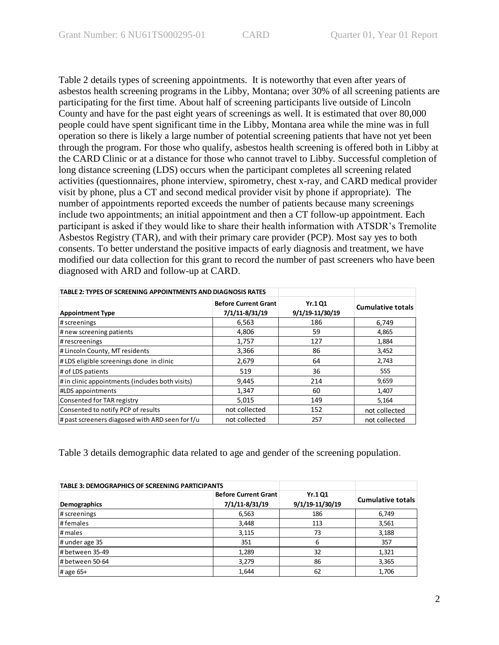Table 2 details types of screening appointments. It is noteworthy that even after years of asbestos health screening programs in the Libby, Montana; over 30% of all screening patients are participating for the first time. About half of screening participants live outside of Lincoln County and have for the past eight years of screenings as well. It is estimated that over 80,000 people could have spent significant time in the Libby, Montana area while the mine was in full operation so there is likely a large number of potential screening patients that have not yet been through the program. For those who qualify, asbestos health screening is offered both in Libby at the CARD Clinic or at a distance for those who cannot travel to Libby. Successful completion of long distance screening (LDS) occurs when the participant completes all screening related activities (questionnaires, phone interview, spirometry, chest x-ray, and CARD medical provider visit by phone, plus a CT and second medical provider visit by phone if appropriate). The number of appointments reported exceeds the number of patients because many screenings include two appointments; an initial appointment and then a CT follow-up appointment. Each participant is asked if they would like to share their health information with ATSDR's Tremolite Asbestos Registry (TAR), and with their primary care provider (PCP). Most say yes to both consents. To better understand the positive impacts of early diagnosis and treatment, we have modified our data collection for this grant to record the number of past screeners who have been diagnosed with ARD and follow-up at CARD.

| <b>TABLE 2: TYPES OF SCREENING APPOINTMENTS AND DIAGNOSIS RATES</b> |                                               |                                  |                          |
|---------------------------------------------------------------------|-----------------------------------------------|----------------------------------|--------------------------|
| <b>Appointment Type</b>                                             | <b>Before Current Grant</b><br>7/1/11-8/31/19 | <b>Yr.1Q1</b><br>9/1/19-11/30/19 | <b>Cumulative totals</b> |
| # screenings                                                        | 6,563                                         | 186                              | 6.749                    |
| # new screening patients                                            | 4,806                                         | 59                               | 4,865                    |
| # rescreenings                                                      | 1,757                                         | 127                              | 1,884                    |
| # Lincoln County, MT residents                                      | 3,366                                         | 86                               | 3,452                    |
| # LDS eligible screenings done in clinic                            | 2,679                                         | 64                               | 2,743                    |
| # of LDS patients                                                   | 519                                           | 36                               | 555                      |
| # in clinic appointments (includes both visits)                     | 9,445                                         | 214                              | 9,659                    |
| <b>#LDS</b> appointments                                            | 1,347                                         | 60                               | 1,407                    |
| Consented for TAR registry                                          | 5,015                                         | 149                              | 5,164                    |
| Consented to notify PCP of results                                  | not collected                                 | 152                              | not collected            |
| # past screeners diagosed with ARD seen for f/u                     | not collected                                 | 257                              | not collected            |

Table 3 details demographic data related to age and gender of the screening population.

| <b>TABLE 3: DEMOGRAPHICS OF SCREENING PARTICIPANTS</b> |                                               |                                   |                          |
|--------------------------------------------------------|-----------------------------------------------|-----------------------------------|--------------------------|
| Demographics                                           | <b>Before Current Grant</b><br>7/1/11-8/31/19 | <b>Yr.1 Q1</b><br>9/1/19-11/30/19 | <b>Cumulative totals</b> |
| # screenings                                           | 6,563                                         | 186                               | 6,749                    |
| #females                                               | 3,448                                         | 113                               | 3,561                    |
| # males                                                | 3,115                                         | 73                                | 3,188                    |
| # under age 35                                         | 351                                           | 6                                 | 357                      |
| # between 35-49                                        | 1,289                                         | 32                                | 1,321                    |
| # between 50-64                                        | 3,279                                         | 86                                | 3,365                    |
| # age 65+                                              | 1,644                                         | 62                                | 1,706                    |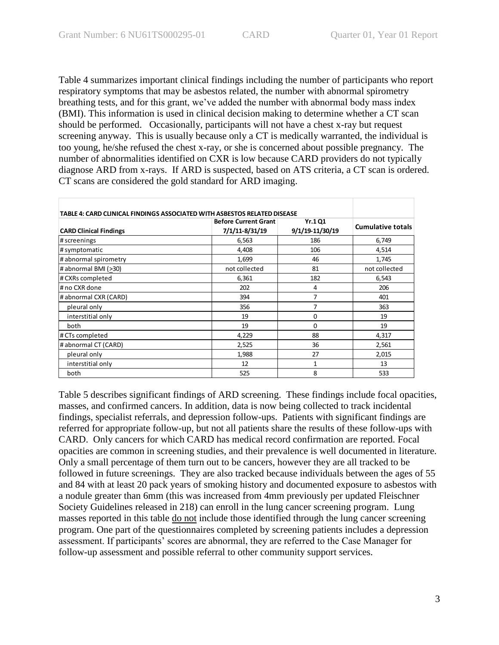Table 4 summarizes important clinical findings including the number of participants who report respiratory symptoms that may be asbestos related, the number with abnormal spirometry breathing tests, and for this grant, we've added the number with abnormal body mass index (BMI). This information is used in clinical decision making to determine whether a CT scan should be performed. Occasionally, participants will not have a chest x-ray but request screening anyway. This is usually because only a CT is medically warranted, the individual is too young, he/she refused the chest x-ray, or she is concerned about possible pregnancy. The number of abnormalities identified on CXR is low because CARD providers do not typically diagnose ARD from x-rays. If ARD is suspected, based on ATS criteria, a CT scan is ordered. CT scans are considered the gold standard for ARD imaging.

| TABLE 4: CARD CLINICAL FINDINGS ASSOCIATED WITH ASBESTOS RELATED DISEASE |                                               |                                   |                          |
|--------------------------------------------------------------------------|-----------------------------------------------|-----------------------------------|--------------------------|
| <b>CARD Clinical Findings</b>                                            | <b>Before Current Grant</b><br>7/1/11-8/31/19 | <b>Yr.1 Q1</b><br>9/1/19-11/30/19 | <b>Cumulative totals</b> |
| # screenings                                                             | 6,563                                         | 186                               | 6,749                    |
| # symptomatic                                                            | 4,408                                         | 106                               | 4,514                    |
| # abnormal spirometry                                                    | 1,699                                         | 46                                | 1,745                    |
| # abnormal BMI (>30)                                                     | not collected                                 | 81                                | not collected            |
| # CXRs completed                                                         | 6,361                                         | 182                               | 6,543                    |
| # no CXR done                                                            | 202                                           | 4                                 | 206                      |
| # abnormal CXR (CARD)                                                    | 394                                           | 7                                 | 401                      |
| pleural only                                                             | 356                                           | 7                                 | 363                      |
| interstitial only                                                        | 19                                            | 0                                 | 19                       |
| both                                                                     | 19                                            | $\Omega$                          | 19                       |
| # CTs completed                                                          | 4,229                                         | 88                                | 4,317                    |
| # abnormal CT (CARD)                                                     | 2,525                                         | 36                                | 2,561                    |
| pleural only                                                             | 1,988                                         | 27                                | 2,015                    |
| interstitial only                                                        | 12                                            | $\mathbf{1}$                      | 13                       |
| both                                                                     | 525                                           | 8                                 | 533                      |

Table 5 describes significant findings of ARD screening. These findings include focal opacities, masses, and confirmed cancers. In addition, data is now being collected to track incidental findings, specialist referrals, and depression follow-ups. Patients with significant findings are referred for appropriate follow-up, but not all patients share the results of these follow-ups with CARD. Only cancers for which CARD has medical record confirmation are reported. Focal opacities are common in screening studies, and their prevalence is well documented in literature. Only a small percentage of them turn out to be cancers, however they are all tracked to be followed in future screenings. They are also tracked because individuals between the ages of 55 and 84 with at least 20 pack years of smoking history and documented exposure to asbestos with a nodule greater than 6mm (this was increased from 4mm previously per updated Fleischner Society Guidelines released in 218) can enroll in the lung cancer screening program. Lung masses reported in this table do not include those identified through the lung cancer screening program. One part of the questionnaires completed by screening patients includes a depression assessment. If participants' scores are abnormal, they are referred to the Case Manager for follow-up assessment and possible referral to other community support services.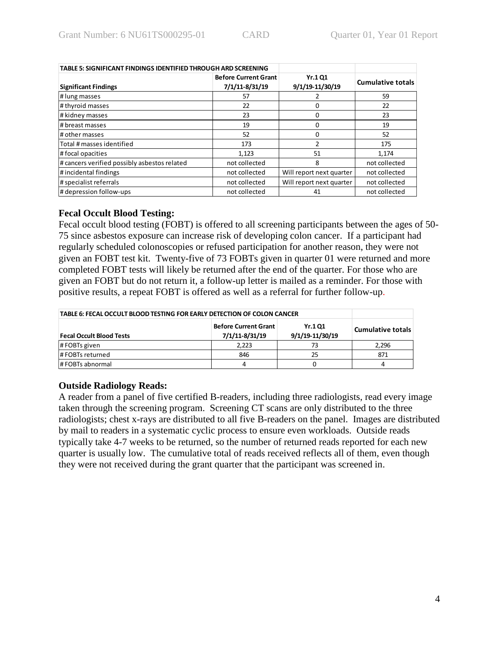| TABLE 5: SIGNIFICANT FINDINGS IDENTIFIED THROUGH ARD SCREENING |                                               |                                  |                          |
|----------------------------------------------------------------|-----------------------------------------------|----------------------------------|--------------------------|
| <b>Significant Findings</b>                                    | <b>Before Current Grant</b><br>7/1/11-8/31/19 | <b>Yr.101</b><br>9/1/19-11/30/19 | <b>Cumulative totals</b> |
| # lung masses                                                  | 57                                            |                                  | 59                       |
| # thyroid masses                                               | 22                                            | 0                                | 22                       |
| # kidney masses                                                | 23                                            | 0                                | 23                       |
| # breast masses                                                | 19                                            | 0                                | 19                       |
| # other masses                                                 | 52                                            | 0                                | 52                       |
| Total # masses identified                                      | 173                                           | $\mathfrak{p}$                   | 175                      |
| #focal opacities                                               | 1,123                                         | 51                               | 1,174                    |
| # cancers verified possibly asbestos related                   | not collected                                 | 8                                | not collected            |
| #incidental findings                                           | not collected                                 | Will report next quarter         | not collected            |
| # specialist referrals                                         | not collected                                 | Will report next quarter         | not collected            |
| # depression follow-ups                                        | not collected                                 | 41                               | not collected            |

### **Fecal Occult Blood Testing:**

Fecal occult blood testing (FOBT) is offered to all screening participants between the ages of 50- 75 since asbestos exposure can increase risk of developing colon cancer. If a participant had regularly scheduled colonoscopies or refused participation for another reason, they were not given an FOBT test kit. Twenty-five of 73 FOBTs given in quarter 01 were returned and more completed FOBT tests will likely be returned after the end of the quarter. For those who are given an FOBT but do not return it, a follow-up letter is mailed as a reminder. For those with positive results, a repeat FOBT is offered as well as a referral for further follow-up.

| TABLE 6: FECAL OCCULT BLOOD TESTING FOR EARLY DETECTION OF COLON CANCER |                          |    |       |
|-------------------------------------------------------------------------|--------------------------|----|-------|
| <b>Fecal Occult Blood Tests</b>                                         | <b>Cumulative totals</b> |    |       |
| # FOBTs given                                                           | 2.223                    | 73 | 2.296 |
| # FOBTs returned                                                        | 846                      | 25 | 871   |
| # FOBTs abnormal                                                        |                          |    |       |

# **Outside Radiology Reads:**

A reader from a panel of five certified B-readers, including three radiologists, read every image taken through the screening program. Screening CT scans are only distributed to the three radiologists; chest x-rays are distributed to all five B-readers on the panel. Images are distributed by mail to readers in a systematic cyclic process to ensure even workloads. Outside reads typically take 4-7 weeks to be returned, so the number of returned reads reported for each new quarter is usually low. The cumulative total of reads received reflects all of them, even though they were not received during the grant quarter that the participant was screened in.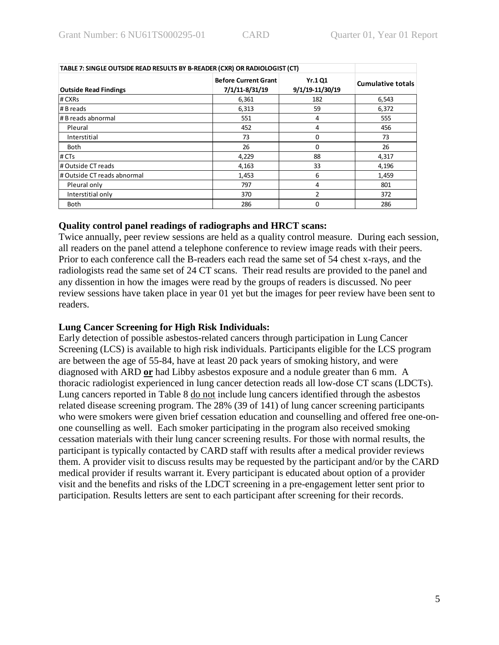| TABLE 7: SINGLE OUTSIDE READ RESULTS BY B-READER (CXR) OR RADIOLOGIST (CT) |                                               |                                   |                          |
|----------------------------------------------------------------------------|-----------------------------------------------|-----------------------------------|--------------------------|
| <b>Outside Read Findings</b>                                               | <b>Before Current Grant</b><br>7/1/11-8/31/19 | <b>Yr.1 Q1</b><br>9/1/19-11/30/19 | <b>Cumulative totals</b> |
| # CXRs                                                                     | 6,361                                         | 182                               | 6,543                    |
| # B reads                                                                  | 6,313                                         | 59                                | 6,372                    |
| # B reads abnormal                                                         | 551                                           | 4                                 | 555                      |
| Pleural                                                                    | 452                                           | 4                                 | 456                      |
| Interstitial                                                               | 73                                            | $\Omega$                          | 73                       |
| <b>Both</b>                                                                | 26                                            | $\Omega$                          | 26                       |
| # CTs                                                                      | 4,229                                         | 88                                | 4,317                    |
| # Outside CT reads                                                         | 4,163                                         | 33                                | 4,196                    |
| # Outside CT reads abnormal                                                | 1,453                                         | 6                                 | 1,459                    |
| Pleural only                                                               | 797                                           | 4                                 | 801                      |
| Interstitial only                                                          | 370                                           | 2                                 | 372                      |
| <b>Both</b>                                                                | 286                                           | $\Omega$                          | 286                      |

### **Quality control panel readings of radiographs and HRCT scans:**

Twice annually, peer review sessions are held as a quality control measure. During each session, all readers on the panel attend a telephone conference to review image reads with their peers. Prior to each conference call the B-readers each read the same set of 54 chest x-rays, and the radiologists read the same set of 24 CT scans. Their read results are provided to the panel and any dissention in how the images were read by the groups of readers is discussed. No peer review sessions have taken place in year 01 yet but the images for peer review have been sent to readers.

### **Lung Cancer Screening for High Risk Individuals:**

Early detection of possible asbestos-related cancers through participation in Lung Cancer Screening (LCS) is available to high risk individuals. Participants eligible for the LCS program are between the age of 55-84, have at least 20 pack years of smoking history, and were diagnosed with ARD **or** had Libby asbestos exposure and a nodule greater than 6 mm. A thoracic radiologist experienced in lung cancer detection reads all low-dose CT scans (LDCTs). Lung cancers reported in Table 8 do not include lung cancers identified through the asbestos related disease screening program. The 28% (39 of 141) of lung cancer screening participants who were smokers were given brief cessation education and counselling and offered free one-onone counselling as well. Each smoker participating in the program also received smoking cessation materials with their lung cancer screening results. For those with normal results, the participant is typically contacted by CARD staff with results after a medical provider reviews them. A provider visit to discuss results may be requested by the participant and/or by the CARD medical provider if results warrant it. Every participant is educated about option of a provider visit and the benefits and risks of the LDCT screening in a pre-engagement letter sent prior to participation. Results letters are sent to each participant after screening for their records.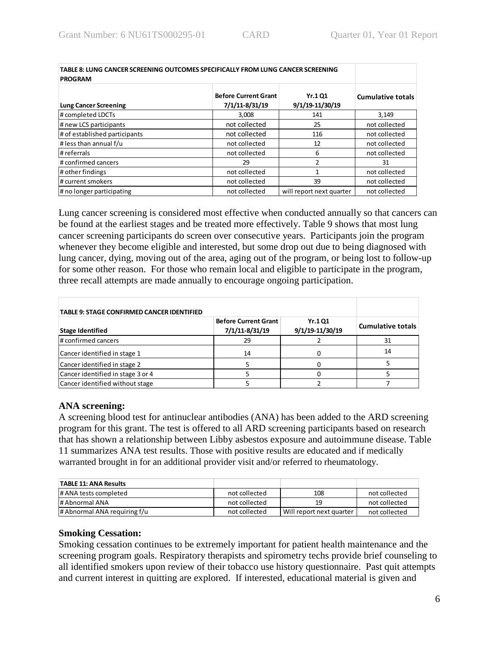| TABLE 8: LUNG CANCER SCREENING OUTCOMES SPECIFICALLY FROM LUNG CANCER SCREENING<br><b>PROGRAM</b> |                                               |                                   |                          |
|---------------------------------------------------------------------------------------------------|-----------------------------------------------|-----------------------------------|--------------------------|
| <b>Lung Cancer Screening</b>                                                                      | <b>Before Current Grant</b><br>7/1/11-8/31/19 | <b>Yr.1 Q1</b><br>9/1/19-11/30/19 | <b>Cumulative totals</b> |
| # completed LDCTs                                                                                 | 3,008                                         | 141                               | 3,149                    |
| # new LCS participants                                                                            | not collected                                 | 25                                | not collected            |
| # of established participants                                                                     | not collected                                 | 116                               | not collected            |
| # less than annual f/u                                                                            | not collected                                 | 12                                | not collected            |
| # referrals                                                                                       | not collected                                 | 6                                 | not collected            |
| # confirmed cancers                                                                               | 29                                            | 2                                 | 31                       |
| # other findings                                                                                  | not collected                                 | $\mathbf{1}$                      | not collected            |
| # current smokers                                                                                 | not collected                                 | 39                                | not collected            |
| # no longer participating                                                                         | not collected                                 | will report next quarter          | not collected            |

Lung cancer screening is considered most effective when conducted annually so that cancers can be found at the earliest stages and be treated more effectively. Table 9 shows that most lung cancer screening participants do screen over consecutive years. Participants join the program whenever they become eligible and interested, but some drop out due to being diagnosed with lung cancer, dying, moving out of the area, aging out of the program, or being lost to follow-up for some other reason. For those who remain local and eligible to participate in the program, three recall attempts are made annually to encourage ongoing participation.

| TABLE 9: STAGE CONFIRMED CANCER IDENTIFIED |                                               |                                   |                          |
|--------------------------------------------|-----------------------------------------------|-----------------------------------|--------------------------|
| <b>Stage Identified</b>                    | <b>Before Current Grant</b><br>7/1/11-8/31/19 | <b>Yr.1 Q1</b><br>9/1/19-11/30/19 | <b>Cumulative totals</b> |
| # confirmed cancers                        | 29                                            |                                   | 31                       |
| Cancer identified in stage 1               | 14                                            |                                   | 14                       |
| Cancer identified in stage 2               |                                               |                                   |                          |
| Cancer identified in stage 3 or 4          |                                               |                                   |                          |
| Cancer identified without stage            |                                               |                                   |                          |

### **ANA screening:**

A screening blood test for antinuclear antibodies (ANA) has been added to the ARD screening program for this grant. The test is offered to all ARD screening participants based on research that has shown a relationship between Libby asbestos exposure and autoimmune disease. Table 11 summarizes ANA test results. Those with positive results are educated and if medically warranted brought in for an additional provider visit and/or referred to rheumatology.

| <b>TABLE 11: ANA Results</b> |               |                          |               |
|------------------------------|---------------|--------------------------|---------------|
| # ANA tests completed        | not collected | 108                      | not collected |
| # Abnormal ANA               | not collected | 19                       | not collected |
| # Abnormal ANA requiring f/u | not collected | Will report next quarter | not collected |

### **Smoking Cessation:**

Smoking cessation continues to be extremely important for patient health maintenance and the screening program goals. Respiratory therapists and spirometry techs provide brief counseling to all identified smokers upon review of their tobacco use history questionnaire. Past quit attempts and current interest in quitting are explored. If interested, educational material is given and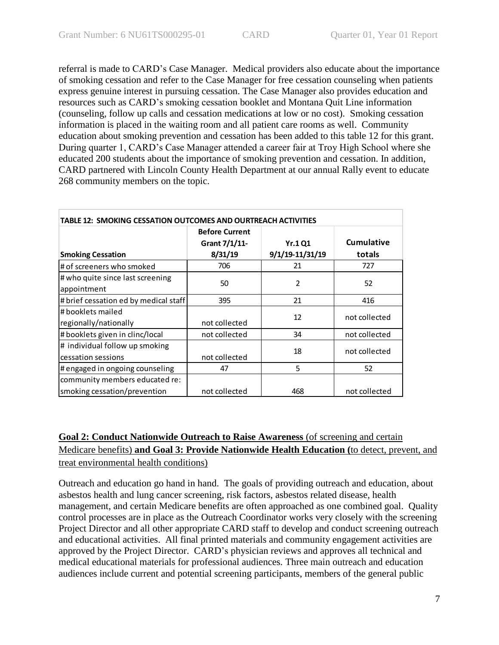referral is made to CARD's Case Manager. Medical providers also educate about the importance of smoking cessation and refer to the Case Manager for free cessation counseling when patients express genuine interest in pursuing cessation. The Case Manager also provides education and resources such as CARD's smoking cessation booklet and Montana Quit Line information (counseling, follow up calls and cessation medications at low or no cost). Smoking cessation information is placed in the waiting room and all patient care rooms as well. Community education about smoking prevention and cessation has been added to this table 12 for this grant. During quarter 1, CARD's Case Manager attended a career fair at Troy High School where she educated 200 students about the importance of smoking prevention and cessation. In addition, CARD partnered with Lincoln County Health Department at our annual Rally event to educate 268 community members on the topic.

| TABLE 12: SMOKING CESSATION OUTCOMES AND OURTREACH ACTIVITIES  |                                        |                 |               |
|----------------------------------------------------------------|----------------------------------------|-----------------|---------------|
|                                                                | <b>Before Current</b><br>Grant 7/1/11- | <b>Yr.1 Q1</b>  | Cumulative    |
| <b>Smoking Cessation</b>                                       | 8/31/19                                | 9/1/19-11/31/19 | totals        |
| # of screeners who smoked                                      | 706                                    | 21              | 727           |
| # who quite since last screening<br>appointment                | 50                                     | 2               | 52            |
| # brief cessation ed by medical staff                          | 395                                    | 21              | 416           |
| l# booklets mailed<br>regionally/nationally                    | not collected                          | 12              | not collected |
| # booklets given in clinc/local                                | not collected                          | 34              | not collected |
| # individual follow up smoking<br>cessation sessions           | not collected                          | 18              | not collected |
| # engaged in ongoing counseling                                | 47                                     | 5               | 52            |
| community members educated re:<br>smoking cessation/prevention | not collected                          | 468             | not collected |

# **Goal 2: Conduct Nationwide Outreach to Raise Awareness** (of screening and certain Medicare benefits) **and Goal 3: Provide Nationwide Health Education (**to detect, prevent, and treat environmental health conditions)

Outreach and education go hand in hand. The goals of providing outreach and education, about asbestos health and lung cancer screening, risk factors, asbestos related disease, health management, and certain Medicare benefits are often approached as one combined goal. Quality control processes are in place as the Outreach Coordinator works very closely with the screening Project Director and all other appropriate CARD staff to develop and conduct screening outreach and educational activities. All final printed materials and community engagement activities are approved by the Project Director. CARD's physician reviews and approves all technical and medical educational materials for professional audiences. Three main outreach and education audiences include current and potential screening participants, members of the general public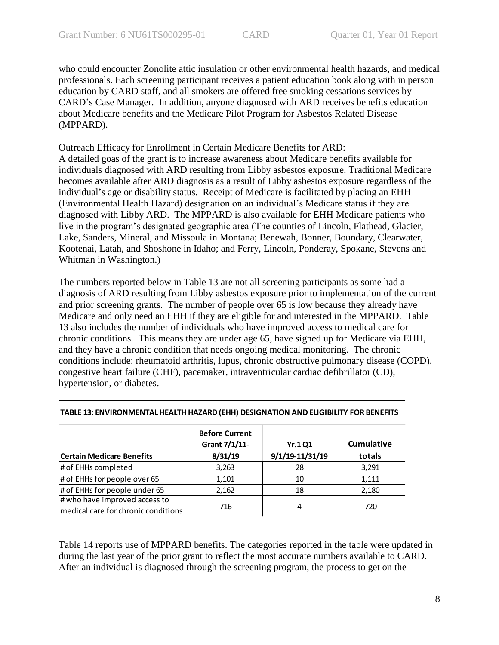who could encounter Zonolite attic insulation or other environmental health hazards, and medical professionals. Each screening participant receives a patient education book along with in person education by CARD staff, and all smokers are offered free smoking cessations services by CARD's Case Manager. In addition, anyone diagnosed with ARD receives benefits education about Medicare benefits and the Medicare Pilot Program for Asbestos Related Disease (MPPARD).

Outreach Efficacy for Enrollment in Certain Medicare Benefits for ARD: A detailed goas of the grant is to increase awareness about Medicare benefits available for individuals diagnosed with ARD resulting from Libby asbestos exposure. Traditional Medicare becomes available after ARD diagnosis as a result of Libby asbestos exposure regardless of the individual's age or disability status. Receipt of Medicare is facilitated by placing an EHH (Environmental Health Hazard) designation on an individual's Medicare status if they are diagnosed with Libby ARD. The MPPARD is also available for EHH Medicare patients who live in the program's designated geographic area (The counties of Lincoln, Flathead, Glacier, Lake, Sanders, Mineral, and Missoula in Montana; Benewah, Bonner, Boundary, Clearwater, Kootenai, Latah, and Shoshone in Idaho; and Ferry, Lincoln, Ponderay, Spokane, Stevens and Whitman in Washington.)

The numbers reported below in Table 13 are not all screening participants as some had a diagnosis of ARD resulting from Libby asbestos exposure prior to implementation of the current and prior screening grants. The number of people over 65 is low because they already have Medicare and only need an EHH if they are eligible for and interested in the MPPARD. Table 13 also includes the number of individuals who have improved access to medical care for chronic conditions. This means they are under age 65, have signed up for Medicare via EHH, and they have a chronic condition that needs ongoing medical monitoring. The chronic conditions include: rheumatoid arthritis, lupus, chronic obstructive pulmonary disease (COPD), congestive heart failure (CHF), pacemaker, intraventricular cardiac defibrillator (CD), hypertension, or diabetes.

|                                     | <b>Before Current</b><br>Grant 7/1/11- | <b>Yr.1 Q1</b>      | <b>Cumulative</b> |
|-------------------------------------|----------------------------------------|---------------------|-------------------|
| <b>Certain Medicare Benefits</b>    | 8/31/19                                | $9/1/19 - 11/31/19$ | totals            |
| # of EHHs completed                 | 3,263                                  | 28                  | 3,291             |
| # of EHHs for people over 65        | 1,101                                  | 10                  | 1,111             |
| # of EHHs for people under 65       | 2,162                                  | 18                  | 2,180             |
| # who have improved access to       | 716                                    | 4                   | 720               |
| medical care for chronic conditions |                                        |                     |                   |

### **TABLE 13: ENVIRONMENTAL HEALTH HAZARD (EHH) DESIGNATION AND ELIGIBILITY FOR BENEFITS**

Table 14 reports use of MPPARD benefits. The categories reported in the table were updated in during the last year of the prior grant to reflect the most accurate numbers available to CARD. After an individual is diagnosed through the screening program, the process to get on the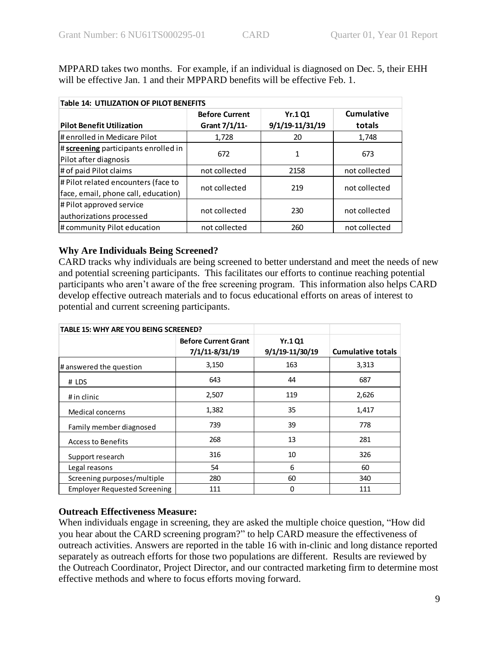MPPARD takes two months. For example, if an individual is diagnosed on Dec. 5, their EHH will be effective Jan. 1 and their MPPARD benefits will be effective Feb. 1.

| <b>Table 14: UTILIZATION OF PILOT BENEFITS</b> |                       |                 |               |
|------------------------------------------------|-----------------------|-----------------|---------------|
|                                                | <b>Before Current</b> | <b>Yr.1 Q1</b>  | Cumulative    |
| <b>Pilot Benefit Utilization</b>               | Grant 7/1/11-         | 9/1/19-11/31/19 | totals        |
| # enrolled in Medicare Pilot                   | 1,728                 | 20              | 1,748         |
| # screening participants enrolled in           | 672                   |                 | 673           |
| Pilot after diagnosis                          |                       | 1               |               |
| # of paid Pilot claims                         | not collected         | 2158            | not collected |
| # Pilot related encounters (face to            | not collected         | 219             | not collected |
| face, email, phone call, education)            |                       |                 |               |
| # Pilot approved service                       | not collected         | 230             | not collected |
| authorizations processed                       |                       |                 |               |
| # community Pilot education                    | not collected         | 260             | not collected |

### **Why Are Individuals Being Screened?**

CARD tracks why individuals are being screened to better understand and meet the needs of new and potential screening participants. This facilitates our efforts to continue reaching potential participants who aren't aware of the free screening program. This information also helps CARD develop effective outreach materials and to focus educational efforts on areas of interest to potential and current screening participants.

| <b>TABLE 15: WHY ARE YOU BEING SCREENED?</b> |                                               |                                   |                          |
|----------------------------------------------|-----------------------------------------------|-----------------------------------|--------------------------|
|                                              | <b>Before Current Grant</b><br>7/1/11-8/31/19 | <b>Yr.1 Q1</b><br>9/1/19-11/30/19 | <b>Cumulative totals</b> |
| # answered the question                      | 3,150                                         | 163                               | 3,313                    |
| # LDS                                        | 643                                           | 44                                | 687                      |
| # in clinic                                  | 2,507                                         | 119                               | 2,626                    |
| Medical concerns                             | 1,382                                         | 35                                | 1,417                    |
| Family member diagnosed                      | 739                                           | 39                                | 778                      |
| Access to Benefits                           | 268                                           | 13                                | 281                      |
| Support research                             | 316                                           | 10                                | 326                      |
| Legal reasons                                | 54                                            | 6                                 | 60                       |
| Screening purposes/multiple                  | 280                                           | 60                                | 340                      |
| <b>Employer Requested Screening</b>          | 111                                           | $\Omega$                          | 111                      |

# **Outreach Effectiveness Measure:**

When individuals engage in screening, they are asked the multiple choice question, "How did you hear about the CARD screening program?" to help CARD measure the effectiveness of outreach activities. Answers are reported in the table 16 with in-clinic and long distance reported separately as outreach efforts for those two populations are different. Results are reviewed by the Outreach Coordinator, Project Director, and our contracted marketing firm to determine most effective methods and where to focus efforts moving forward.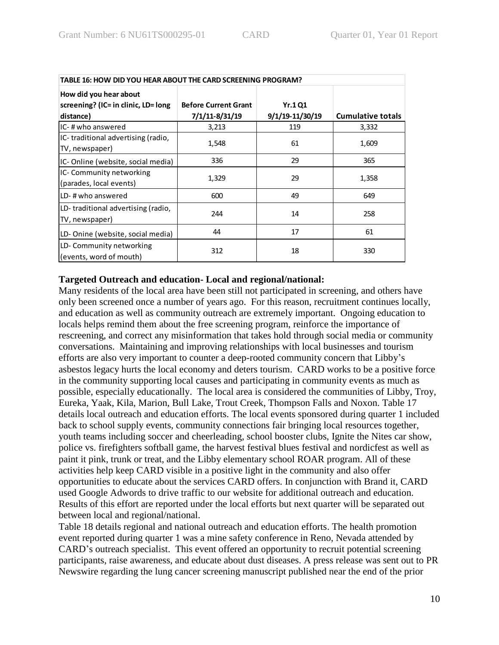| TABLE 16: HOW DID YOU HEAR ABOUT THE CARD SCREENING PROGRAM?  |                             |                 |                          |
|---------------------------------------------------------------|-----------------------------|-----------------|--------------------------|
| How did you hear about<br>screening? (IC= in clinic, LD= long | <b>Before Current Grant</b> | <b>Yr.1 Q1</b>  |                          |
| distance)                                                     | 7/1/11-8/31/19              | 9/1/19-11/30/19 | <b>Cumulative totals</b> |
| IC-#who answered                                              | 3,213                       | 119             | 3,332                    |
| IC-traditional advertising (radio,<br>TV, newspaper)          | 1,548                       | 61              | 1,609                    |
| IC-Online (website, social media)                             | 336                         | 29              | 365                      |
| IC- Community networking<br>(parades, local events)           | 1,329                       | 29              | 1,358                    |
| ILD-#who answered                                             | 600                         | 49              | 649                      |
| LD-traditional advertising (radio,<br>TV, newspaper)          | 244                         | 14              | 258                      |
| LD-Onine (website, social media)                              | 44                          | 17              | 61                       |
| LD- Community networking<br>(events, word of mouth)           | 312                         | 18              | 330                      |

### **Targeted Outreach and education- Local and regional/national:**

Many residents of the local area have been still not participated in screening, and others have only been screened once a number of years ago. For this reason, recruitment continues locally, and education as well as community outreach are extremely important. Ongoing education to locals helps remind them about the free screening program, reinforce the importance of rescreening, and correct any misinformation that takes hold through social media or community conversations. Maintaining and improving relationships with local businesses and tourism efforts are also very important to counter a deep-rooted community concern that Libby's asbestos legacy hurts the local economy and deters tourism. CARD works to be a positive force in the community supporting local causes and participating in community events as much as possible, especially educationally. The local area is considered the communities of Libby, Troy, Eureka, Yaak, Kila, Marion, Bull Lake, Trout Creek, Thompson Falls and Noxon. Table 17 details local outreach and education efforts. The local events sponsored during quarter 1 included back to school supply events, community connections fair bringing local resources together, youth teams including soccer and cheerleading, school booster clubs, Ignite the Nites car show, police vs. firefighters softball game, the harvest festival blues festival and nordicfest as well as paint it pink, trunk or treat, and the Libby elementary school ROAR program. All of these activities help keep CARD visible in a positive light in the community and also offer opportunities to educate about the services CARD offers. In conjunction with Brand it, CARD used Google Adwords to drive traffic to our website for additional outreach and education. Results of this effort are reported under the local efforts but next quarter will be separated out between local and regional/national.

Table 18 details regional and national outreach and education efforts. The health promotion event reported during quarter 1 was a mine safety conference in Reno, Nevada attended by CARD's outreach specialist. This event offered an opportunity to recruit potential screening participants, raise awareness, and educate about dust diseases. A press release was sent out to PR Newswire regarding the lung cancer screening manuscript published near the end of the prior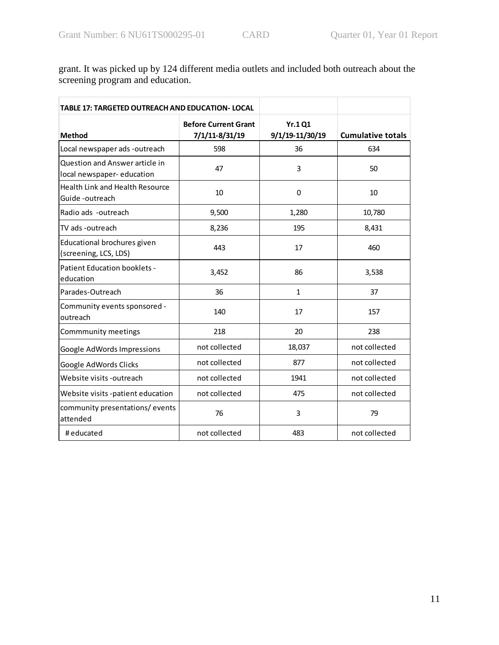grant. It was picked up by 124 different media outlets and included both outreach about the screening program and education.

| <b>TABLE 17: TARGETED OUTREACH AND EDUCATION- LOCAL</b>     |                                               |                                   |                          |
|-------------------------------------------------------------|-----------------------------------------------|-----------------------------------|--------------------------|
| <b>Method</b>                                               | <b>Before Current Grant</b><br>7/1/11-8/31/19 | <b>Yr.1 Q1</b><br>9/1/19-11/30/19 | <b>Cumulative totals</b> |
| Local newspaper ads -outreach                               | 598                                           | 36                                | 634                      |
| Question and Answer article in<br>local newspaper-education | 47                                            | 3                                 | 50                       |
| Health Link and Health Resource<br>Guide -outreach          | 10                                            | $\Omega$                          | 10                       |
| Radio ads -outreach                                         | 9,500                                         | 1,280                             | 10,780                   |
| TV ads -outreach                                            | 8,236                                         | 195                               | 8,431                    |
| Educational brochures given<br>(screening, LCS, LDS)        | 443                                           | 17                                | 460                      |
| Patient Education booklets -<br>education                   | 3,452                                         | 86                                | 3,538                    |
| Parades-Outreach                                            | 36                                            | $\mathbf{1}$                      | 37                       |
| Community events sponsored -<br>outreach                    | 140                                           | 17                                | 157                      |
| Commmunity meetings                                         | 218                                           | 20                                | 238                      |
| Google AdWords Impressions                                  | not collected                                 | 18,037                            | not collected            |
| Google AdWords Clicks                                       | not collected                                 | 877                               | not collected            |
| Website visits -outreach                                    | not collected                                 | 1941                              | not collected            |
| Website visits -patient education                           | not collected                                 | 475                               | not collected            |
| community presentations/events<br>attended                  | 76                                            | 3                                 | 79                       |
| # educated                                                  | not collected                                 | 483                               | not collected            |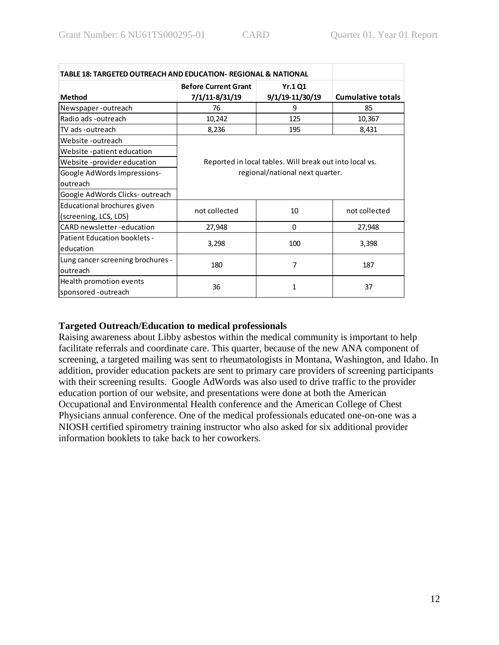| TABLE 18: TARGETED OUTREACH AND EDUCATION- REGIONAL & NATIONAL |                                                                                            |                 |                          |
|----------------------------------------------------------------|--------------------------------------------------------------------------------------------|-----------------|--------------------------|
|                                                                | <b>Before Current Grant</b>                                                                | <b>Yr.1 Q1</b>  |                          |
| <b>Method</b>                                                  | 7/1/11-8/31/19                                                                             | 9/1/19-11/30/19 | <b>Cumulative totals</b> |
| Newspaper-outreach                                             | 76                                                                                         | 9               | 85                       |
| Radio ads -outreach                                            | 10,242                                                                                     | 125             | 10,367                   |
| TV ads -outreach                                               | 8,236                                                                                      | 195             | 8,431                    |
| Website -outreach                                              |                                                                                            |                 |                          |
| Website -patient education                                     |                                                                                            |                 |                          |
| Website -provider education                                    | Reported in local tables. Will break out into local vs.<br>regional/national next quarter. |                 |                          |
| Google AdWords Impressions-                                    |                                                                                            |                 |                          |
| outreach                                                       |                                                                                            |                 |                          |
| Google AdWords Clicks-outreach                                 |                                                                                            |                 |                          |
| Educational brochures given                                    | not collected                                                                              | not collected   |                          |
| (screening, LCS, LDS)                                          |                                                                                            | 10              |                          |
| CARD newsletter-education                                      | 27,948                                                                                     | 0               | 27,948                   |
| Patient Education booklets -                                   | 3,298<br>100                                                                               |                 | 3,398                    |
| education                                                      |                                                                                            |                 |                          |
| Lung cancer screening brochures -                              | 180                                                                                        | 7               | 187                      |
| outreach                                                       |                                                                                            |                 |                          |
| Health promotion events                                        | 36                                                                                         | 1               | 37                       |
| sponsored -outreach                                            |                                                                                            |                 |                          |

# **Targeted Outreach/Education to medical professionals**

Raising awareness about Libby asbestos within the medical community is important to help facilitate referrals and coordinate care. This quarter, because of the new ANA component of screening, a targeted mailing was sent to rheumatologists in Montana, Washington, and Idaho. In addition, provider education packets are sent to primary care providers of screening participants with their screening results. Google AdWords was also used to drive traffic to the provider education portion of our website, and presentations were done at both the American Occupational and Environmental Health conference and the American College of Chest Physicians annual conference. One of the medical professionals educated one-on-one was a NIOSH certified spirometry training instructor who also asked for six additional provider information booklets to take back to her coworkers.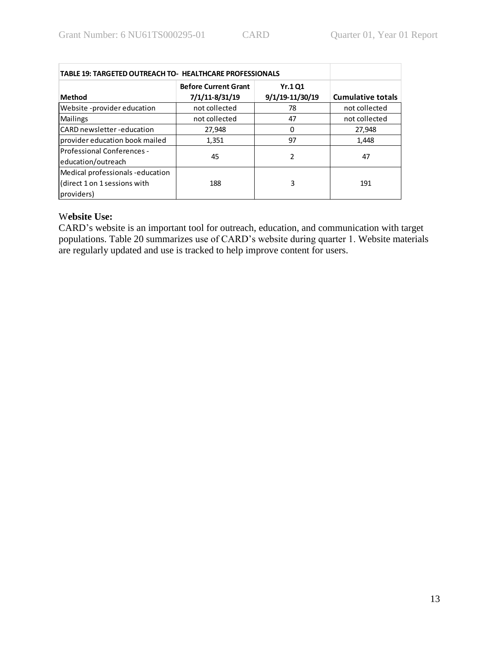| <b>TABLE 19: TARGETED OUTREACH TO- HEALTHCARE PROFESSIONALS</b>              |                                               |                                   |                          |
|------------------------------------------------------------------------------|-----------------------------------------------|-----------------------------------|--------------------------|
| <b>Method</b>                                                                | <b>Before Current Grant</b><br>7/1/11-8/31/19 | <b>Yr.1 Q1</b><br>9/1/19-11/30/19 | <b>Cumulative totals</b> |
| Website -provider education                                                  | not collected                                 | 78                                | not collected            |
| <b>Mailings</b>                                                              | not collected                                 | 47                                | not collected            |
| <b>ICARD</b> newsletter -education                                           | 27,948                                        | 0                                 | 27,948                   |
| provider education book mailed                                               | 1,351                                         | 97                                | 1,448                    |
| <b>Professional Conferences -</b><br>education/outreach                      | 45                                            | $\mathcal{P}$                     | 47                       |
| Medical professionals-education<br>direct 1 on 1 sessions with<br>providers) | 188                                           | 3                                 | 191                      |

# W**ebsite Use:**

CARD's website is an important tool for outreach, education, and communication with target populations. Table 20 summarizes use of CARD's website during quarter 1. Website materials are regularly updated and use is tracked to help improve content for users.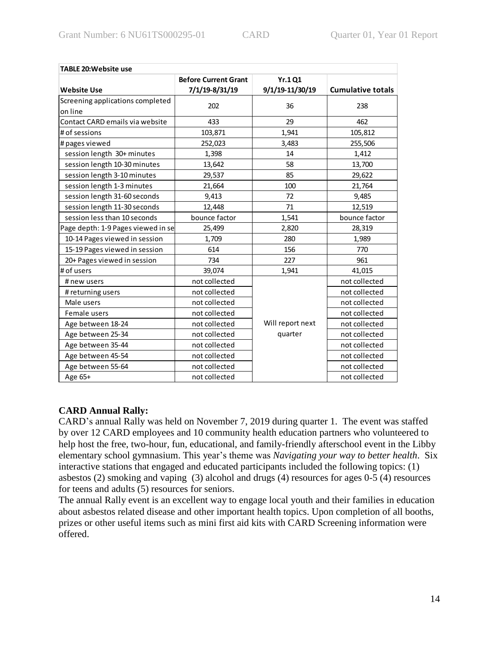| <b>TABLE 20: Website use</b>       |                             |                  |                          |
|------------------------------------|-----------------------------|------------------|--------------------------|
|                                    | <b>Before Current Grant</b> | Yr.1 Q1          |                          |
| <b>Website Use</b>                 | 7/1/19-8/31/19              | 9/1/19-11/30/19  | <b>Cumulative totals</b> |
| Screening applications completed   | 202                         | 36               | 238                      |
| on line                            |                             |                  |                          |
| Contact CARD emails via website    | 433                         | 29               | 462                      |
| # of sessions                      | 103,871                     | 1,941            | 105,812                  |
| # pages viewed                     | 252,023                     | 3,483            | 255,506                  |
| session length 30+ minutes         | 1,398                       | 14               | 1,412                    |
| session length 10-30 minutes       | 13,642                      | 58               | 13,700                   |
| session length 3-10 minutes        | 29,537                      | 85               | 29,622                   |
| session length 1-3 minutes         | 21,664                      | 100              | 21,764                   |
| session length 31-60 seconds       | 9,413                       | 72               | 9,485                    |
| session length 11-30 seconds       | 12,448                      | 71               | 12,519                   |
| session less than 10 seconds       | bounce factor               | 1,541            | bounce factor            |
| Page depth: 1-9 Pages viewed in se | 25,499                      | 2,820            | 28,319                   |
| 10-14 Pages viewed in session      | 1,709                       | 280              | 1,989                    |
| 15-19 Pages viewed in session      | 614                         | 156              | 770                      |
| 20+ Pages viewed in session        | 734                         | 227              | 961                      |
| # of users                         | 39,074                      | 1,941            | 41,015                   |
| # new users                        | not collected               |                  | not collected            |
| # returning users                  | not collected               |                  | not collected            |
| Male users                         | not collected               |                  | not collected            |
| Female users                       | not collected               |                  | not collected            |
| Age between 18-24                  | not collected               | Will report next | not collected            |
| Age between 25-34                  | not collected               | quarter          | not collected            |
| Age between 35-44                  | not collected               |                  | not collected            |
| Age between 45-54                  | not collected               |                  | not collected            |
| Age between 55-64                  | not collected               |                  | not collected            |
| Age 65+                            | not collected               |                  | not collected            |

# **CARD Annual Rally:**

CARD's annual Rally was held on November 7, 2019 during quarter 1. The event was staffed by over 12 CARD employees and 10 community health education partners who volunteered to help host the free, two-hour, fun, educational, and family-friendly afterschool event in the Libby elementary school gymnasium. This year's theme was *Navigating your way to better health*. Six interactive stations that engaged and educated participants included the following topics: (1) asbestos (2) smoking and vaping (3) alcohol and drugs (4) resources for ages 0-5 (4) resources for teens and adults (5) resources for seniors.

The annual Rally event is an excellent way to engage local youth and their families in education about asbestos related disease and other important health topics. Upon completion of all booths, prizes or other useful items such as mini first aid kits with CARD Screening information were offered.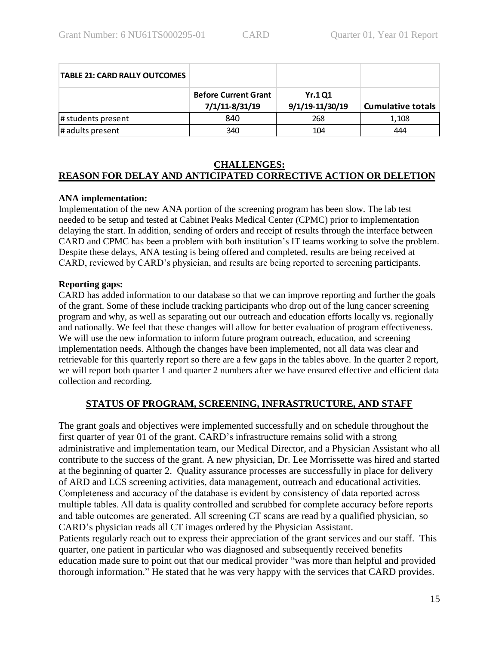| <b>TABLE 21: CARD RALLY OUTCOMES</b> |                                               |                                   |                          |
|--------------------------------------|-----------------------------------------------|-----------------------------------|--------------------------|
|                                      | <b>Before Current Grant</b><br>7/1/11-8/31/19 | <b>Yr.1 Q1</b><br>9/1/19-11/30/19 | <b>Cumulative totals</b> |
| # students present                   | 840                                           | 268                               | 1,108                    |
| # adults present                     | 340                                           | 104                               | 444                      |

### **CHALLENGES:**

# **REASON FOR DELAY AND ANTICIPATED CORRECTIVE ACTION OR DELETION**

#### **ANA implementation:**

Implementation of the new ANA portion of the screening program has been slow. The lab test needed to be setup and tested at Cabinet Peaks Medical Center (CPMC) prior to implementation delaying the start. In addition, sending of orders and receipt of results through the interface between CARD and CPMC has been a problem with both institution's IT teams working to solve the problem. Despite these delays, ANA testing is being offered and completed, results are being received at CARD, reviewed by CARD's physician, and results are being reported to screening participants.

#### **Reporting gaps:**

CARD has added information to our database so that we can improve reporting and further the goals of the grant. Some of these include tracking participants who drop out of the lung cancer screening program and why, as well as separating out our outreach and education efforts locally vs. regionally and nationally. We feel that these changes will allow for better evaluation of program effectiveness. We will use the new information to inform future program outreach, education, and screening implementation needs. Although the changes have been implemented, not all data was clear and retrievable for this quarterly report so there are a few gaps in the tables above. In the quarter 2 report, we will report both quarter 1 and quarter 2 numbers after we have ensured effective and efficient data collection and recording.

### **STATUS OF PROGRAM, SCREENING, INFRASTRUCTURE, AND STAFF**

The grant goals and objectives were implemented successfully and on schedule throughout the first quarter of year 01 of the grant. CARD's infrastructure remains solid with a strong administrative and implementation team, our Medical Director, and a Physician Assistant who all contribute to the success of the grant. A new physician, Dr. Lee Morrissette was hired and started at the beginning of quarter 2. Quality assurance processes are successfully in place for delivery of ARD and LCS screening activities, data management, outreach and educational activities. Completeness and accuracy of the database is evident by consistency of data reported across multiple tables. All data is quality controlled and scrubbed for complete accuracy before reports and table outcomes are generated. All screening CT scans are read by a qualified physician, so CARD's physician reads all CT images ordered by the Physician Assistant.

Patients regularly reach out to express their appreciation of the grant services and our staff. This quarter, one patient in particular who was diagnosed and subsequently received benefits education made sure to point out that our medical provider "was more than helpful and provided thorough information." He stated that he was very happy with the services that CARD provides.